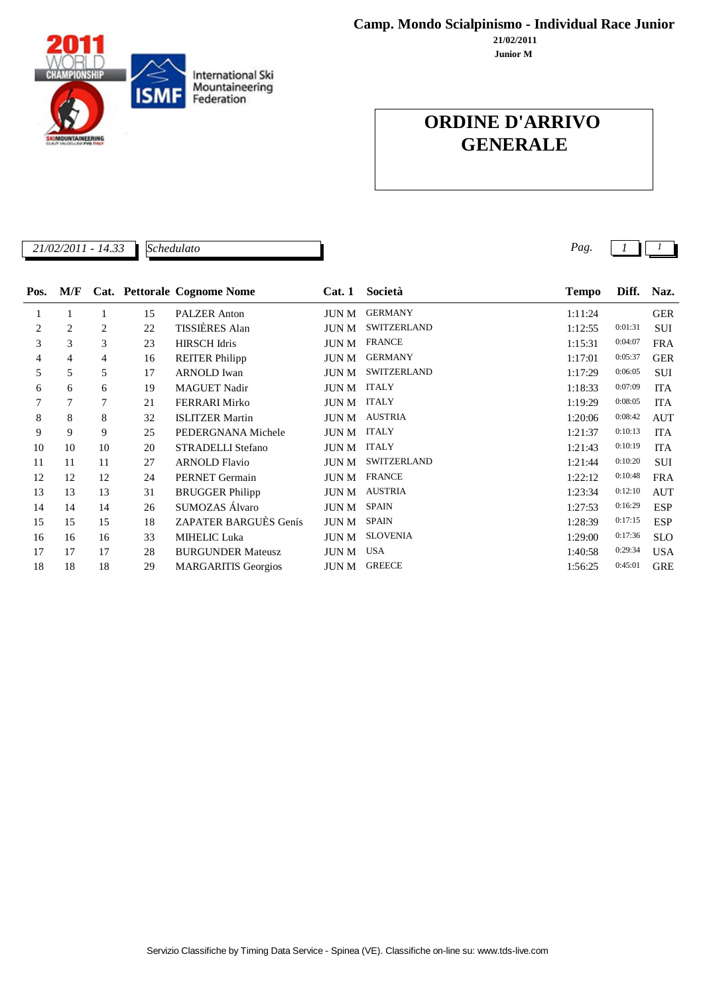**Camp. Mondo Scialpinismo - Individual Race Junior**

**Junior M 21/02/2011**

## **ORDINE D'ARRIVO GENERALE**

Servizio Classifiche by Timing Data Service - Spinea (VE). Classifiche on-line su: www.tds-live.com

| Pos. | M/F    |    |    | Cat. Pettorale Cognome Nome | Cat.1        | Società         | <b>Tempo</b> | Diff.   | Naz.       |
|------|--------|----|----|-----------------------------|--------------|-----------------|--------------|---------|------------|
|      |        |    | 15 | <b>PALZER</b> Anton         | JUN M        | <b>GERMANY</b>  | 1:11:24      |         | <b>GER</b> |
| 2    | 2      | 2  | 22 | TISSIÈRES Alan              | JUN M        | SWITZERLAND     | 1:12:55      | 0:01:31 | <b>SUI</b> |
| 3    | 3      | 3  | 23 | <b>HIRSCH Idris</b>         | JUN M        | <b>FRANCE</b>   | 1:15:31      | 0:04:07 | <b>FRA</b> |
| 4    | 4      | 4  | 16 | <b>REITER Philipp</b>       | JUN M        | <b>GERMANY</b>  | 1:17:01      | 0:05:37 | <b>GER</b> |
| 5    | 5      | 5  | 17 | <b>ARNOLD</b> Iwan          | JUN M        | SWITZERLAND     | 1:17:29      | 0:06:05 | <b>SUI</b> |
| 6    | 6      | 6  | 19 | <b>MAGUET Nadir</b>         | JUN M        | <b>ITALY</b>    | 1:18:33      | 0:07:09 | <b>ITA</b> |
| 7    | $\tau$ | 7  | 21 | <b>FERRARI Mirko</b>        | JUN M        | <b>ITALY</b>    | 1:19:29      | 0:08:05 | <b>ITA</b> |
| 8    | 8      | 8  | 32 | <b>ISLITZER Martin</b>      | JUN M        | <b>AUSTRIA</b>  | 1:20:06      | 0:08:42 | <b>AUT</b> |
| 9    | 9      | 9  | 25 | PEDERGNANA Michele          | JUN M        | <b>ITALY</b>    | 1:21:37      | 0:10:13 | <b>ITA</b> |
| 10   | 10     | 10 | 20 | <b>STRADELLI Stefano</b>    | JUN M        | <b>ITALY</b>    | 1:21:43      | 0:10:19 | <b>ITA</b> |
| 11   | 11     | 11 | 27 | <b>ARNOLD Flavio</b>        | JUN M        | SWITZERLAND     | 1:21:44      | 0:10:20 | <b>SUI</b> |
| 12   | 12     | 12 | 24 | PERNET Germain              | JUN M        | <b>FRANCE</b>   | 1:22:12      | 0:10:48 | <b>FRA</b> |
| 13   | 13     | 13 | 31 | <b>BRUGGER Philipp</b>      | JUN M        | <b>AUSTRIA</b>  | 1:23:34      | 0:12:10 | <b>AUT</b> |
| 14   | 14     | 14 | 26 | SUMOZAS Álvaro              | JUN M        | <b>SPAIN</b>    | 1:27:53      | 0:16:29 | <b>ESP</b> |
| 15   | 15     | 15 | 18 | ZAPATER BARGUÈS Genís       | <b>JUN M</b> | <b>SPAIN</b>    | 1:28:39      | 0:17:15 | <b>ESP</b> |
| 16   | 16     | 16 | 33 | <b>MIHELIC Luka</b>         | <b>JUN M</b> | <b>SLOVENIA</b> | 1:29:00      | 0:17:36 | <b>SLO</b> |
| 17   | 17     | 17 | 28 | <b>BURGUNDER Mateusz</b>    | JUN M        | <b>USA</b>      | 1:40:58      | 0:29:34 | <b>USA</b> |
| 18   | 18     | 18 | 29 | <b>MARGARITIS Georgios</b>  | JUN M        | <b>GREECE</b>   | 1:56:25      | 0:45:01 | <b>GRE</b> |



*Schedulato*

*21/02/2011 - 14.33 Pag. 1 1*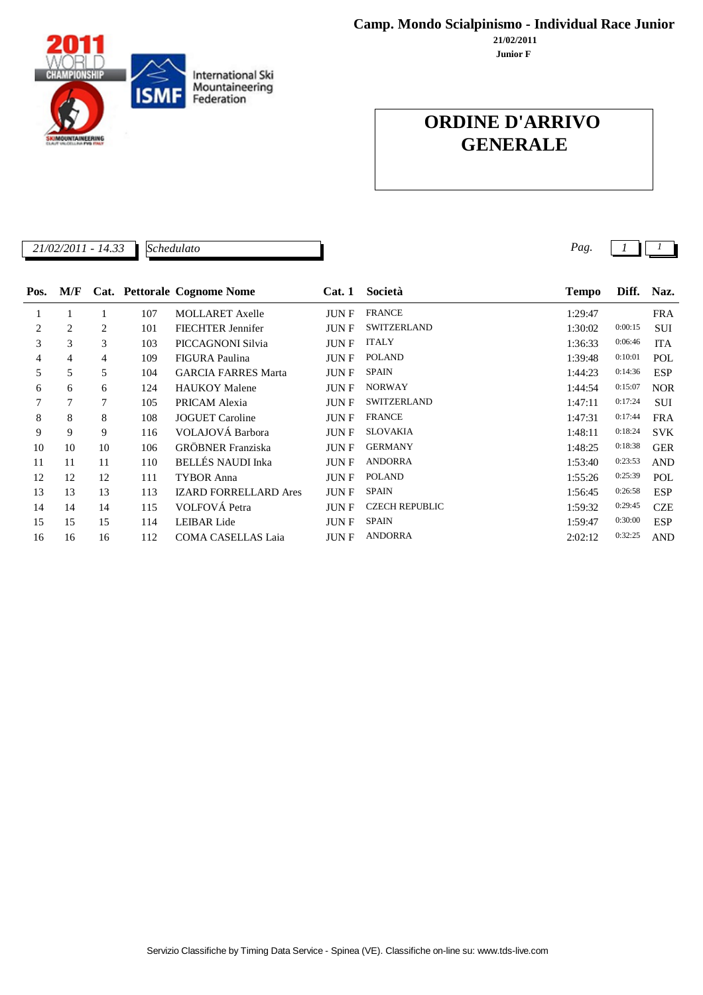Servizio Classifiche by Timing Data Service - Spinea (VE). Classifiche on-line su: www.tds-live.com



**Junior F 21/02/2011**

## **ORDINE D'ARRIVO GENERALE**

| 22<br>21/02/2011<br>$1 - 14.5$ | Schedulato | Ρασ |  |  |
|--------------------------------|------------|-----|--|--|
|                                |            |     |  |  |

| Pos.           | M/F |        |     | Cat. Pettorale Cognome Nome  | Cat.1       | Società               | <b>Tempo</b> | Diff.   | Naz.       |
|----------------|-----|--------|-----|------------------------------|-------------|-----------------------|--------------|---------|------------|
| 1              |     |        | 107 | <b>MOLLARET</b> Axelle       | <b>JUNF</b> | <b>FRANCE</b>         | 1:29:47      |         | <b>FRA</b> |
| $\overline{2}$ | 2   | 2      | 101 | <b>FIECHTER Jennifer</b>     | <b>JUNF</b> | <b>SWITZERLAND</b>    | 1:30:02      | 0:00:15 | <b>SUI</b> |
| 3              | 3   | 3      | 103 | PICCAGNONI Silvia            | <b>JUNF</b> | <b>ITALY</b>          | 1:36:33      | 0:06:46 | <b>ITA</b> |
| 4              | 4   | 4      | 109 | FIGURA Paulina               | <b>JUNF</b> | <b>POLAND</b>         | 1:39:48      | 0:10:01 | POL        |
| 5              | 5   | 5      | 104 | <b>GARCIA FARRES Marta</b>   | JUN F       | <b>SPAIN</b>          | 1:44:23      | 0:14:36 | <b>ESP</b> |
| 6              | 6   | 6      | 124 | <b>HAUKOY Malene</b>         | <b>JUNF</b> | <b>NORWAY</b>         | 1:44:54      | 0:15:07 | <b>NOR</b> |
| 7              | 7   | $\tau$ | 105 | PRICAM Alexia                | <b>JUNF</b> | <b>SWITZERLAND</b>    | 1:47:11      | 0:17:24 | <b>SUI</b> |
| 8              | 8   | 8      | 108 | <b>JOGUET</b> Caroline       | <b>JUNF</b> | <b>FRANCE</b>         | 1:47:31      | 0:17:44 | <b>FRA</b> |
| 9              | 9   | 9      | 116 | VOLAJOVÁ Barbora             | <b>JUNF</b> | <b>SLOVAKIA</b>       | 1:48:11      | 0:18:24 | <b>SVK</b> |
| 10             | 10  | 10     | 106 | <b>GRÖBNER</b> Franziska     | <b>JUNF</b> | <b>GERMANY</b>        | 1:48:25      | 0:18:38 | <b>GER</b> |
| 11             | 11  | 11     | 110 | <b>BELLÉS NAUDI Inka</b>     | <b>JUNF</b> | <b>ANDORRA</b>        | 1:53:40      | 0:23:53 | <b>AND</b> |
| 12             | 12  | 12     | 111 | <b>TYBOR Anna</b>            | JUN F       | <b>POLAND</b>         | 1:55:26      | 0:25:39 | POL        |
| 13             | 13  | 13     | 113 | <b>IZARD FORRELLARD Ares</b> | JUN F       | <b>SPAIN</b>          | 1:56:45      | 0:26:58 | <b>ESP</b> |
| 14             | 14  | 14     | 115 | VOLFOVÁ Petra                | <b>JUNF</b> | <b>CZECH REPUBLIC</b> | 1:59:32      | 0:29:45 | <b>CZE</b> |
| 15             | 15  | 15     | 114 | <b>LEIBAR</b> Lide           | JUN F       | <b>SPAIN</b>          | 1:59:47      | 0:30:00 | <b>ESP</b> |
| 16             | 16  | 16     | 112 | <b>COMA CASELLAS Laia</b>    | <b>JUNF</b> | <b>ANDORRA</b>        | 2:02:12      | 0:32:25 | <b>AND</b> |

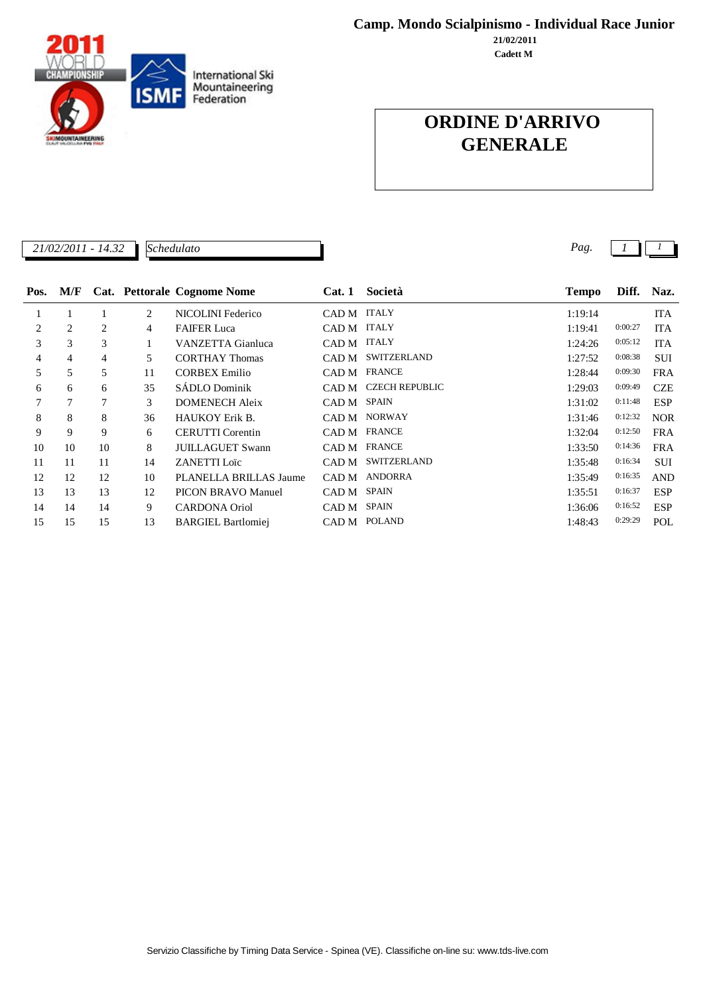**Camp. Mondo Scialpinismo - Individual Race Junior**

**Cadett M 21/02/2011**

# International Ski<br>Mountaineering<br>Federation **ISMF NTAINEERING**

## **ORDINE D'ARRIVO GENERALE**

| 21/02/2011<br>$\Omega$<br>14 | חו<br>Schedulato | Pag |  |
|------------------------------|------------------|-----|--|
| -<br>17.JL                   |                  |     |  |
|                              |                  |     |  |

| Pos. |    |    |    | M/F Cat. Pettorale Cognome Nome | Cat. 1      | Società               | <b>Tempo</b> | Diff.   | Naz.       |
|------|----|----|----|---------------------------------|-------------|-----------------------|--------------|---------|------------|
|      |    |    | 2  | NICOLINI Federico               | CAD M       | <b>ITALY</b>          | 1:19:14      |         | <b>ITA</b> |
| 2    | 2  | 2  | 4  | <b>FAIFER Luca</b>              | CAD M ITALY |                       | 1:19:41      | 0:00:27 | <b>ITA</b> |
| 3    | 3  | 3  |    | VANZETTA Gianluca               | CAD M ITALY |                       | 1:24:26      | 0:05:12 | <b>ITA</b> |
| 4    | 4  | 4  | 5  | <b>CORTHAY Thomas</b>           | CAD M       | <b>SWITZERLAND</b>    | 1:27:52      | 0:08:38 | <b>SUI</b> |
| 5    | 5  | 5  | 11 | <b>CORBEX Emilio</b>            | CAD M       | <b>FRANCE</b>         | 1:28:44      | 0:09:30 | <b>FRA</b> |
| 6    | 6  | 6  | 35 | SÁDLO Dominik                   | CAD M       | <b>CZECH REPUBLIC</b> | 1:29:03      | 0:09:49 | <b>CZE</b> |
|      | 7  | 7  | 3  | <b>DOMENECH Aleix</b>           | CAD M       | SPAIN                 | 1:31:02      | 0:11:48 | <b>ESP</b> |
| 8    | 8  | 8  | 36 | <b>HAUKOY Erik B.</b>           | CAD M       | <b>NORWAY</b>         | 1:31:46      | 0:12:32 | <b>NOR</b> |
| 9    | 9  | 9  | 6  | <b>CERUTTI</b> Corentin         | CAD M       | <b>FRANCE</b>         | 1:32:04      | 0:12:50 | <b>FRA</b> |
| 10   | 10 | 10 | 8  | <b>JUILLAGUET Swann</b>         | CAD M       | <b>FRANCE</b>         | 1:33:50      | 0:14:36 | <b>FRA</b> |
| 11   | 11 | 11 | 14 | <b>ZANETTI</b> Loïc             | CAD M       | <b>SWITZERLAND</b>    | 1:35:48      | 0:16:34 | <b>SUI</b> |
| 12   | 12 | 12 | 10 | PLANELLA BRILLAS Jaume          | CAD M       | ANDORRA               | 1:35:49      | 0:16:35 | <b>AND</b> |
| 13   | 13 | 13 | 12 | <b>PICON BRAVO Manuel</b>       | CAD M       | <b>SPAIN</b>          | 1:35:51      | 0:16:37 | ESP        |
| 14   | 14 | 14 | 9  | <b>CARDONA Oriol</b>            | CAD M       | <b>SPAIN</b>          | 1:36:06      | 0:16:52 | <b>ESP</b> |
| 15   | 15 | 15 | 13 | <b>BARGIEL Bartlomiei</b>       | CAD M       | <b>POLAND</b>         | 1:48:43      | 0:29:29 | POL        |